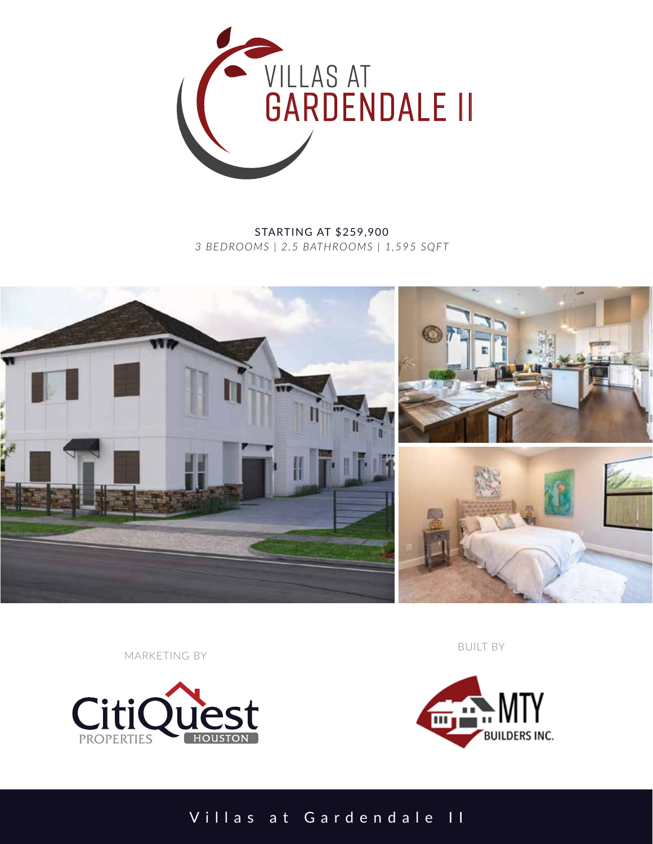

STARTING AT \$259,900 *3 BEDROOMS | 2.5 BATHROOMS | 1,595 SQFT*



MARKETING BY



BUILT BY



Villas at Gardendale II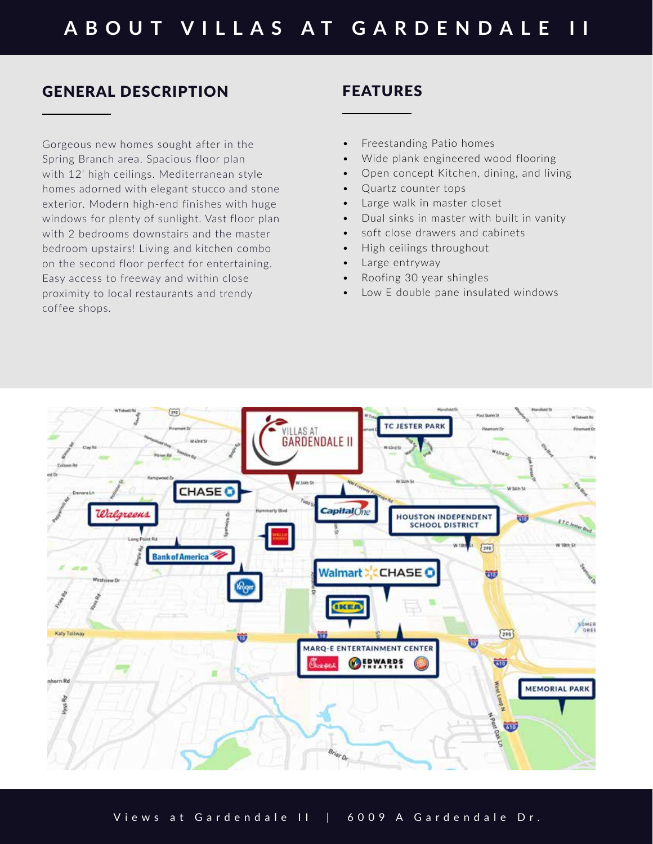## GENERAL DESCRIPTION

Gorgeous new homes sought after in the Spring Branch area. Spacious floor plan with 12' high ceilings. Mediterranean style homes adorned with elegant stucco and stone exterior. Modern high-end finishes with huge windows for plenty of sunlight. Vast floor plan with 2 bedrooms downstairs and the master bedroom upstairs! Living and kitchen combo on the second floor perfect for entertaining. Easy access to freeway and within close proximity to local restaurants and trendy coffee shops.

## FEATURES

- Freestanding Patio homes
- Wide plank engineered wood flooring
- Open concept Kitchen, dining, and living
- Quartz counter tops
- Large walk in master closet
- Dual sinks in master with built in vanity
- soft close drawers and cabinets
- High ceilings throughout
- Large entryway
- Roofing 30 year shingles
- Low E double pane insulated windows



Views at Gardendale II | 6009 A Gardendale Dr.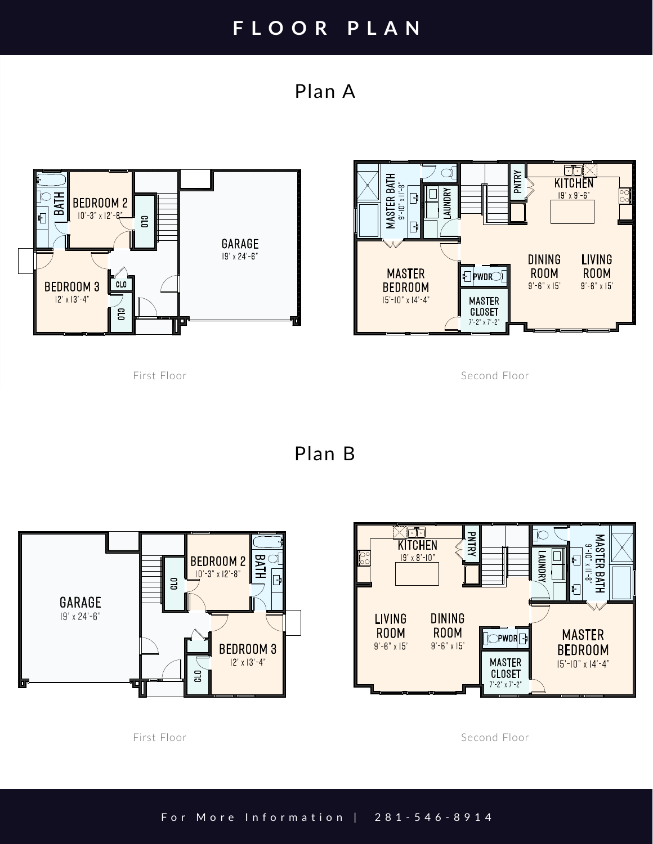## **FLOOR PLAN**

Plan A



First Floor

Second Floor

Plan B



Second Floor

First Floor